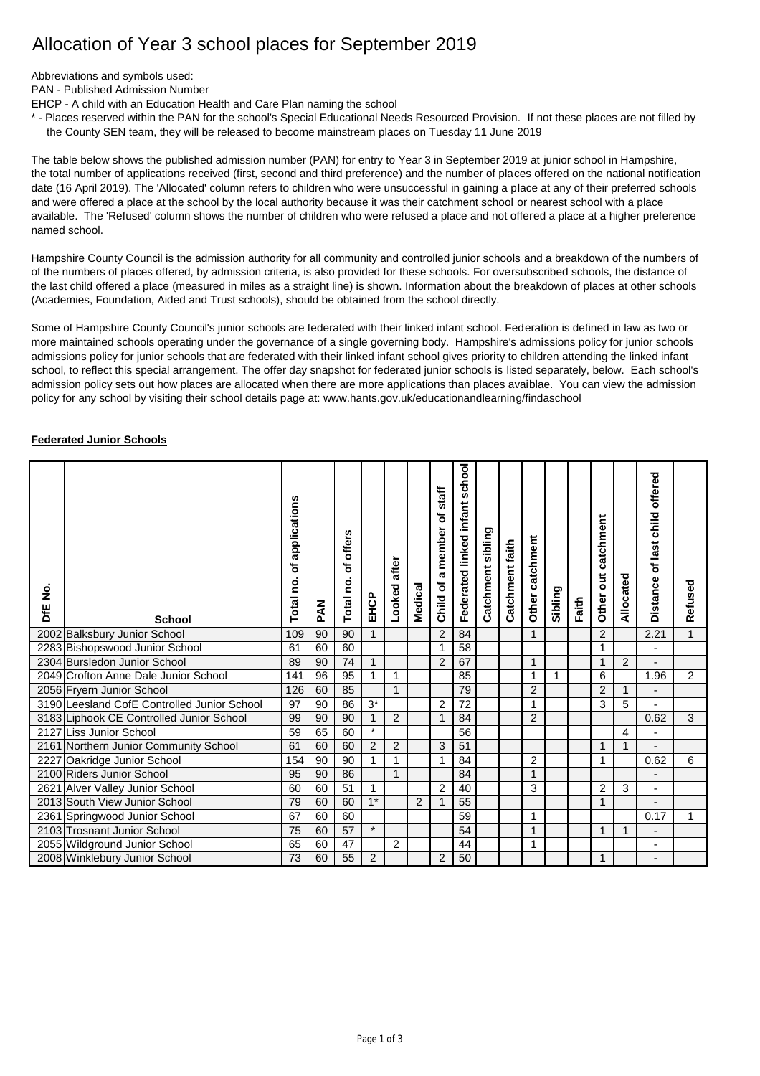## Allocation of Year 3 school places for September 2019

Abbreviations and symbols used:

PAN - Published Admission Number

EHCP - A child with an Education Health and Care Plan naming the school

\* - Places reserved within the PAN for the school's Special Educational Needs Resourced Provision. If not these places are not filled by the County SEN team, they will be released to become mainstream places on Tuesday 11 June 2019

The table below shows the published admission number (PAN) for entry to Year 3 in September 2019 at junior school in Hampshire, the total number of applications received (first, second and third preference) and the number of places offered on the national notification date (16 April 2019). The 'Allocated' column refers to children who were unsuccessful in gaining a place at any of their preferred schools and were offered a place at the school by the local authority because it was their catchment school or nearest school with a place available. The 'Refused' column shows the number of children who were refused a place and not offered a place at a higher preference named school.

Hampshire County Council is the admission authority for all community and controlled junior schools and a breakdown of the numbers of of the numbers of places offered, by admission criteria, is also provided for these schools. For oversubscribed schools, the distance of the last child offered a place (measured in miles as a straight line) is shown. Information about the breakdown of places at other schools (Academies, Foundation, Aided and Trust schools), should be obtained from the school directly.

Some of Hampshire County Council's junior schools are federated with their linked infant school. Federation is defined in law as two or more maintained schools operating under the governance of a single governing body. Hampshire's admissions policy for junior schools admissions policy for junior schools that are federated with their linked infant school gives priority to children attending the linked infant school, to reflect this special arrangement. The offer day snapshot for federated junior schools is listed separately, below. Each school's admission policy sets out how places are allocated when there are more applications than places avaiblae. You can view the admission policy for any school by visiting their school details page at: [www.hants.gov.uk/educationandlearning/findaschool](http://www.hants.gov.uk/educationandlearning/findaschool)

## **Federated Junior Schools**

| $\dot{\mathbf{z}}$<br>ЪЕ | <b>School</b>                               | applications<br>৳<br>Total no | <b>NAG</b> | offers<br>৳<br>Total no | EHCP           | Looked after   | Medical | staff<br>đ<br>a member<br>Child of | school<br>infant<br>Federated linked | Catchment sibling | Catchment faith | Other catchment | Sibling | Faith | catchment<br>ã<br>Other | Allocated      | offered<br>child<br>of last<br>Distance | Refused      |
|--------------------------|---------------------------------------------|-------------------------------|------------|-------------------------|----------------|----------------|---------|------------------------------------|--------------------------------------|-------------------|-----------------|-----------------|---------|-------|-------------------------|----------------|-----------------------------------------|--------------|
|                          | 2002 Balksbury Junior School                | 109                           | 90         | 90                      | $\mathbf{1}$   |                |         | 2                                  | 84                                   |                   |                 | $\mathbf{1}$    |         |       | $\overline{2}$          |                | 2.21                                    | $\mathbf{1}$ |
|                          | 2283 Bishopswood Junior School              | 61                            | 60         | 60                      |                |                |         | $\mathbf 1$                        | 58                                   |                   |                 |                 |         |       | 1                       |                | $\overline{\phantom{a}}$                |              |
|                          | 2304 Bursledon Junior School                | 89                            | 90         | 74                      | $\mathbf{1}$   |                |         | $\overline{2}$                     | 67                                   |                   |                 | $\mathbf{1}$    |         |       | 1                       | $\overline{2}$ |                                         |              |
|                          | 2049 Crofton Anne Dale Junior School        | 141                           | 96         | 95                      | 1              | 1              |         |                                    | 85                                   |                   |                 | 1               | 1       |       | 6                       |                | 1.96                                    | 2            |
|                          | 2056 Fryern Junior School                   | 126                           | 60         | 85                      |                | $\mathbf{1}$   |         |                                    | 79                                   |                   |                 | $\overline{2}$  |         |       | $\overline{2}$          | 1              |                                         |              |
|                          | 3190 Leesland CofE Controlled Junior School | 97                            | 90         | 86                      | $3^*$          |                |         | $\overline{2}$                     | 72                                   |                   |                 | 1               |         |       | 3                       | 5              |                                         |              |
|                          | 3183 Liphook CE Controlled Junior School    | 99                            | 90         | 90                      |                | 2              |         | 1                                  | 84                                   |                   |                 | $\overline{2}$  |         |       |                         |                | 0.62                                    | 3            |
|                          | 2127 Liss Junior School                     | 59                            | 65         | 60                      | $\star$        |                |         |                                    | 56                                   |                   |                 |                 |         |       |                         | 4              |                                         |              |
|                          | 2161 Northern Junior Community School       | 61                            | 60         | 60                      | $\overline{2}$ | $\overline{2}$ |         | 3                                  | 51                                   |                   |                 |                 |         |       | 1                       |                |                                         |              |
|                          | 2227 Oakridge Junior School                 | 154                           | 90         | 90                      | 1              | $\mathbf{1}$   |         | $\mathbf{1}$                       | 84                                   |                   |                 | 2               |         |       | 1                       |                | 0.62                                    | 6            |
|                          | 2100 Riders Junior School                   | 95                            | 90         | 86                      |                | $\mathbf{1}$   |         |                                    | 84                                   |                   |                 | 1               |         |       |                         |                | $\blacksquare$                          |              |
|                          | 2621 Alver Valley Junior School             | 60                            | 60         | 51                      | $\mathbf{1}$   |                |         | $\overline{c}$                     | 40                                   |                   |                 | 3               |         |       | $\overline{c}$          | 3              | ٠                                       |              |
|                          | 2013 South View Junior School               | 79                            | 60         | 60                      | $1*$           |                | 2       | $\mathbf{1}$                       | 55                                   |                   |                 |                 |         |       | $\mathbf{1}$            |                |                                         |              |
|                          | 2361 Springwood Junior School               | 67                            | 60         | 60                      |                |                |         |                                    | 59                                   |                   |                 | 1               |         |       |                         |                | 0.17                                    | 1            |
|                          | 2103 Trosnant Junior School                 | 75                            | 60         | 57                      | $\star$        |                |         |                                    | 54                                   |                   |                 | 1               |         |       | 1                       | 1              |                                         |              |
|                          | 2055 Wildground Junior School               | 65                            | 60         | 47                      |                | 2              |         |                                    | 44                                   |                   |                 | 1               |         |       |                         |                | ٠                                       |              |
|                          | 2008 Winklebury Junior School               | 73                            | 60         | 55                      | 2              |                |         | 2                                  | 50                                   |                   |                 |                 |         |       |                         |                |                                         |              |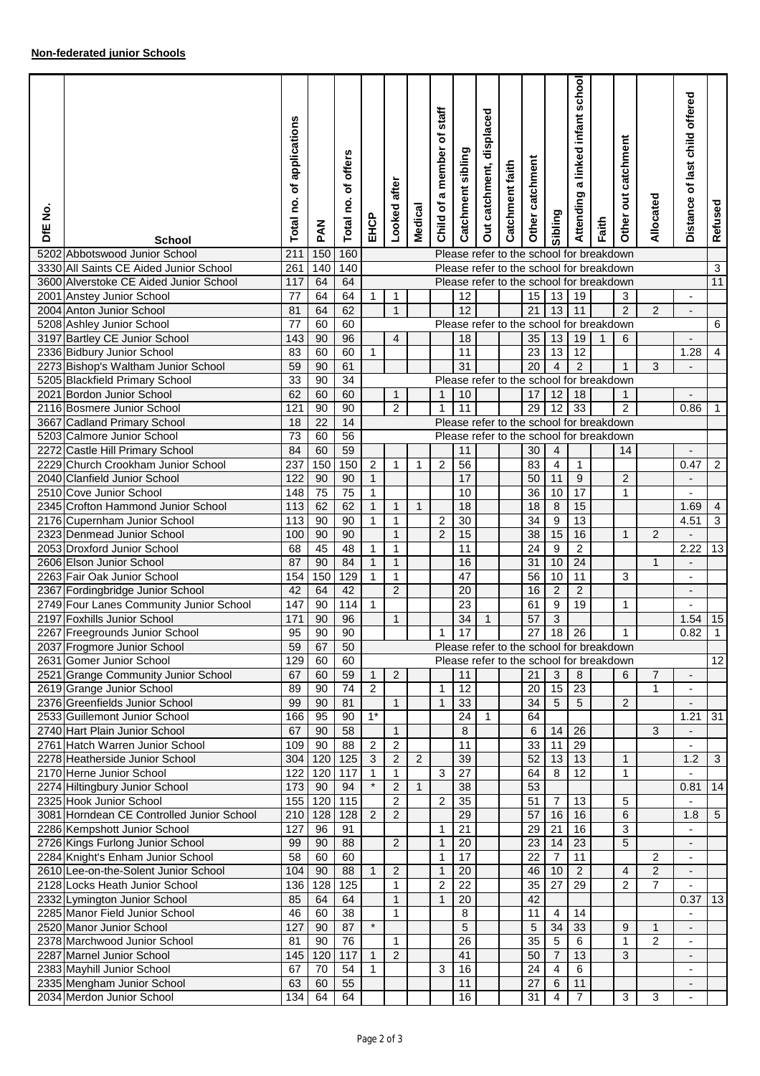| <u>ş</u><br>ЪЕ | <b>School</b>                                                    | of applications<br>Total no. | <b>NAd</b> | offers<br>٥f<br>Total no. | EHCP           | Looked after      | <b>Medical</b> | staff<br>ō<br>a member<br>Child of | Catchment sibling                        | displaced<br>Out catchment, | Catchment faith | Other catchment | Sibling          | school<br>a linked infant<br>Attending | Faith | Other out catchment | Allocated      | of last child offered<br>Distance | Refused         |
|----------------|------------------------------------------------------------------|------------------------------|------------|---------------------------|----------------|-------------------|----------------|------------------------------------|------------------------------------------|-----------------------------|-----------------|-----------------|------------------|----------------------------------------|-------|---------------------|----------------|-----------------------------------|-----------------|
|                | 5202 Abbotswood Junior School                                    | 211                          | 150        | 160                       |                |                   |                |                                    | Please refer to the school for breakdown |                             |                 |                 |                  |                                        |       |                     |                |                                   |                 |
|                | 3330 All Saints CE Aided Junior School                           | 261                          | 140        | 140                       |                |                   |                |                                    | Please refer to the school for breakdown |                             |                 |                 |                  |                                        |       |                     |                |                                   | 3               |
|                | 3600 Alverstoke CE Aided Junior School                           | 117                          | 64         | 64                        |                |                   |                |                                    | Please refer to the school for breakdown |                             |                 |                 |                  |                                        |       |                     |                |                                   | 11              |
|                | 2001 Anstey Junior School                                        | 77                           | 64         | 64                        | $\mathbf{1}$   | 1                 |                |                                    | 12                                       |                             |                 | 15              | 13               | 19                                     |       | 3                   |                | $\overline{\phantom{a}}$          |                 |
|                | 2004 Anton Junior School                                         | 81                           | 64         | 62                        |                | $\mathbf{1}$      |                |                                    | 12                                       |                             |                 | 21              | 13               | 11                                     |       | $\overline{2}$      | 2              | $\overline{a}$                    |                 |
|                | 5208 Ashley Junior School<br>3197 Bartley CE Junior School       | $\overline{77}$              | 60         | 60<br>96                  |                |                   |                |                                    | Please refer to the school for breakdown |                             |                 |                 |                  |                                        |       |                     |                |                                   | $\overline{6}$  |
|                | 2336 Bidbury Junior School                                       | 143<br>83                    | 90<br>60   | 60                        | $\mathbf{1}$   | $\overline{4}$    |                |                                    | 18<br>11                                 |                             |                 | 35<br>23        | 13<br>13         | 19<br>$\overline{12}$                  | 1     | 6                   |                | 1.28                              | $\overline{4}$  |
|                | 2273 Bishop's Waltham Junior School                              | 59                           | 90         | 61                        |                |                   |                |                                    | 31                                       |                             |                 | 20              | $\overline{4}$   | $\overline{2}$                         |       | $\mathbf{1}$        | 3              | $\overline{a}$                    |                 |
|                | 5205 Blackfield Primary School                                   | 33                           | 90         | 34                        |                |                   |                |                                    | Please refer to the school for breakdown |                             |                 |                 |                  |                                        |       |                     |                |                                   |                 |
|                | 2021 Bordon Junior School                                        | 62                           | 60         | 60                        |                | $\mathbf{1}$      |                | $\mathbf{1}$                       | 10                                       |                             |                 | 17              | 12               | 18                                     |       | $\mathbf{1}$        |                |                                   |                 |
|                | 2116 Bosmere Junior School                                       | 121                          | 90         | 90                        |                | $\overline{2}$    |                |                                    | 11                                       |                             |                 | 29              | 12               | 33                                     |       | $\overline{c}$      |                | 0.86                              | $\mathbf 1$     |
|                | 3667 Cadland Primary School                                      | 18                           | 22         | 14                        |                |                   |                |                                    | Please refer to the school for breakdown |                             |                 |                 |                  |                                        |       |                     |                |                                   |                 |
|                | 5203 Calmore Junior School                                       | $\overline{73}$              | 60         | 56                        |                |                   |                |                                    | Please refer to the school for breakdown |                             |                 |                 |                  |                                        |       |                     |                |                                   |                 |
|                | 2272 Castle Hill Primary School                                  | 84                           | 60         | 59                        |                |                   |                |                                    | 11                                       |                             |                 | 30              | 4                |                                        |       | 14                  |                | $\blacksquare$                    |                 |
|                | 2229 Church Crookham Junior School                               | 237                          | 150        | 150                       | $\overline{c}$ | $\mathbf{1}$      | $\mathbf{1}$   | 2                                  | 56                                       |                             |                 | 83              | $\overline{4}$   | 1                                      |       |                     |                | 0.47                              | $\overline{2}$  |
|                | 2040 Clanfield Junior School                                     | 122                          | 90         | 90                        | $\mathbf{1}$   |                   |                |                                    | 17                                       |                             |                 | 50              | 11               | 9                                      |       | 2                   |                | $\overline{a}$                    |                 |
|                | 2510 Cove Junior School                                          | 148                          | 75         | $\overline{75}$           | $\mathbf{1}$   |                   |                |                                    | 10                                       |                             |                 | 36              | 10               | $\overline{17}$                        |       | 1                   |                |                                   |                 |
|                | 2345 Crofton Hammond Junior School                               | 113                          | 62         | 62                        | $\mathbf{1}$   | $\mathbf{1}$      | $\mathbf{1}$   |                                    | 18                                       |                             |                 | 18              | $\,8\,$          | 15                                     |       |                     |                | 1.69                              | $\overline{4}$  |
|                | 2176 Cupernham Junior School                                     | 113                          | 90         | 90                        | $\mathbf{1}$   | $\mathbf{1}$      |                | $\sqrt{2}$                         | $\overline{30}$                          |                             |                 | 34              | $\overline{9}$   | 13                                     |       |                     |                | 4.51                              | 3               |
|                | 2323 Denmead Junior School                                       | 100                          | 90         | 90                        |                | $\mathbf{1}$      |                | $\overline{2}$                     | 15                                       |                             |                 | 38              | 15               | 16                                     |       | $\mathbf{1}$        | $\overline{2}$ |                                   |                 |
|                | 2053 Droxford Junior School                                      | 68                           | 45         | 48                        | 1              | $\mathbf{1}$      |                |                                    | 11                                       |                             |                 | 24              | 9                | $\overline{c}$                         |       |                     |                | 2.22                              | 13              |
|                | 2606 Elson Junior School                                         | 87                           | 90         | 84                        | $\mathbf{1}$   | $\mathbf{1}$      |                |                                    | 16                                       |                             |                 | 31              | 10               | 24                                     |       |                     | $\mathbf{1}$   | $\blacksquare$                    |                 |
|                | 2263 Fair Oak Junior School                                      | 154                          | 150        | 129                       | $\mathbf{1}$   | $\mathbf{1}$      |                |                                    | 47                                       |                             |                 | 56              | 10               | 11                                     |       | 3                   |                | $\blacksquare$                    |                 |
|                | 2367 Fordingbridge Junior School                                 | 42                           | 64         | 42                        |                | $\overline{2}$    |                |                                    | 20                                       |                             |                 | 16              | $\overline{2}$   | $\overline{2}$                         |       |                     |                | $\overline{\phantom{a}}$          |                 |
|                | 2749 Four Lanes Community Junior School                          | 147                          | 90         | 114                       | $\mathbf{1}$   |                   |                |                                    | 23                                       |                             |                 | 61              | $\boldsymbol{9}$ | 19                                     |       | $\mathbf{1}$        |                | $\blacksquare$                    |                 |
|                | 2197 Foxhills Junior School                                      | 171                          | 90         | 96                        |                | $\mathbf{1}$      |                |                                    | 34                                       | $\mathbf{1}$                |                 | 57              | 3                |                                        |       |                     |                | 1.54                              | 15              |
|                | 2267 Freegrounds Junior School                                   | 95                           | 90         | 90                        |                |                   |                | 1                                  | 17                                       |                             |                 | 27              | $\overline{18}$  | 26                                     |       | 1                   |                | 0.82                              | $\overline{1}$  |
|                | 2037 Frogmore Junior School                                      | 59                           | 67         | 50                        |                |                   |                |                                    | Please refer to the school for breakdown |                             |                 |                 |                  |                                        |       |                     |                |                                   |                 |
|                | 2631 Gomer Junior School                                         | 129                          | 60         | 60                        |                |                   |                |                                    | Please refer to the school for breakdown |                             |                 |                 |                  |                                        |       |                     |                |                                   | 12              |
|                | 2521 Grange Community Junior School                              | 67                           | 60         | 59                        | $\mathbf{1}$   | $\overline{2}$    |                |                                    | 11                                       |                             |                 | 21              | 3                | 8                                      |       | 6                   | 7              |                                   |                 |
|                | 2619 Grange Junior School                                        | 89                           | 90         | 74                        | $\overline{2}$ |                   |                | 1                                  | 12                                       |                             |                 | 20              | 15               | 23                                     |       |                     | $\mathbf{1}$   | $\blacksquare$                    |                 |
|                | 2376 Greenfields Junior School                                   | 99                           | 90         | 81                        |                | $\mathbf{1}$      |                | $\mathbf{1}$                       | 33                                       |                             |                 | 34              | 5                | 5                                      |       | 2                   |                | $\overline{\phantom{a}}$          |                 |
|                | 2533 Guillemont Junior School                                    | 166                          | 95         | 90                        | $1^*$          |                   |                |                                    | 24                                       | 1                           |                 | 64              |                  |                                        |       |                     |                | 1.21                              | 31              |
|                | 2740 Hart Plain Junior School<br>2761 Hatch Warren Junior School | 67<br>109                    | 90<br>90   | 58<br>88                  | $\overline{2}$ | $\mathbf{1}$<br>2 |                |                                    | 8<br>11                                  |                             |                 | 6<br>33         | 14<br>11         | 26<br>29                               |       |                     | 3              | $\overline{\phantom{a}}$          |                 |
|                |                                                                  |                              |            |                           | 3              | $\overline{2}$    | 2              |                                    | 39                                       |                             |                 | 52              | 13               | 13                                     |       | 1                   |                | 1.2                               | $\mathbf{3}$    |
|                | 2278 Heatherside Junior School<br>2170 Herne Junior School       | 304<br>122                   | 120<br>120 | 125<br>117                | $\mathbf{1}$   | $\mathbf{1}$      |                | 3                                  | 27                                       |                             |                 | 64              | 8                | 12                                     |       | 1                   |                | $\overline{a}$                    |                 |
|                | 2274 Hiltingbury Junior School                                   | 173                          | 90         | 94                        | $\star$        | $\overline{2}$    | $\mathbf{1}$   |                                    | 38                                       |                             |                 | 53              |                  |                                        |       |                     |                | 0.81                              | 14              |
|                | 2325 Hook Junior School                                          | 155                          | 120        | 115                       |                | $\overline{2}$    |                | 2                                  | 35                                       |                             |                 | 51              | 7                | 13                                     |       | 5                   |                |                                   |                 |
|                | 3081 Horndean CE Controlled Junior School                        | 210                          | 128        | 128                       | $\overline{2}$ | $\overline{2}$    |                |                                    | 29                                       |                             |                 | 57              | 16               | 16                                     |       | 6                   |                | 1.8                               | $5\phantom{.0}$ |
|                | 2286 Kempshott Junior School                                     | 127                          | 96         | 91                        |                |                   |                | 1                                  | 21                                       |                             |                 | 29              | 21               | 16                                     |       | 3                   |                |                                   |                 |
|                | 2726 Kings Furlong Junior School                                 | 99                           | 90         | 88                        |                | 2                 |                | $\mathbf{1}$                       | 20                                       |                             |                 | 23              | 14               | 23                                     |       | 5                   |                |                                   |                 |
|                | 2284 Knight's Enham Junior School                                | 58                           | 60         | 60                        |                |                   |                | 1                                  | 17                                       |                             |                 | 22              | $\overline{7}$   | 11                                     |       |                     | 2              | $\overline{\phantom{a}}$          |                 |
|                | 2610 Lee-on-the-Solent Junior School                             | 104                          | 90         | 88                        | $\mathbf{1}$   | $\overline{2}$    |                | 1                                  | 20                                       |                             |                 | 46              | 10               | $\overline{2}$                         |       | 4                   | $\overline{2}$ | $\overline{\phantom{a}}$          |                 |
|                | 2128 Locks Heath Junior School                                   | 136                          | 128        | 125                       |                | $\mathbf 1$       |                | 2                                  | 22                                       |                             |                 | 35              | 27               | 29                                     |       | 2                   | 7              |                                   |                 |
|                | 2332 Lymington Junior School                                     | 85                           | 64         | 64                        |                | $\mathbf{1}$      |                | 1                                  | 20                                       |                             |                 | 42              |                  |                                        |       |                     |                | 0.37                              | 13              |
|                | 2285 Manor Field Junior School                                   | 46                           | 60         | 38                        |                | $\mathbf{1}$      |                |                                    | 8                                        |                             |                 | 11              | 4                | 14                                     |       |                     |                |                                   |                 |
|                | 2520 Manor Junior School                                         | 127                          | 90         | 87                        | $\star$        |                   |                |                                    | 5                                        |                             |                 | 5               | 34               | 33                                     |       | 9                   | $\mathbf{1}$   |                                   |                 |
|                | 2378 Marchwood Junior School                                     | 81                           | 90         | 76                        |                | $\mathbf{1}$      |                |                                    | 26                                       |                             |                 | 35              | 5                | 6                                      |       | 1                   | $\overline{2}$ | $\overline{\phantom{a}}$          |                 |
|                | 2287 Marnel Junior School                                        | 145                          | 120        | 117                       | $\mathbf{1}$   | $\overline{2}$    |                |                                    | 41                                       |                             |                 | 50              | $\overline{7}$   | 13                                     |       | 3                   |                | $\overline{\phantom{a}}$          |                 |
|                | 2383 Mayhill Junior School                                       | 67                           | 70         | 54                        | $\mathbf 1$    |                   |                | 3                                  | 16                                       |                             |                 | 24              | 4                | 6                                      |       |                     |                |                                   |                 |
|                | 2335 Mengham Junior School                                       | 63                           | 60         | 55                        |                |                   |                |                                    | 11                                       |                             |                 | 27              | 6                | 11                                     |       |                     |                | $\overline{a}$                    |                 |
|                | 2034 Merdon Junior School                                        | 134                          | 64         | 64                        |                |                   |                |                                    | 16                                       |                             |                 | 31              | 4                | $\overline{7}$                         |       | 3                   | 3              | $\overline{\phantom{a}}$          |                 |